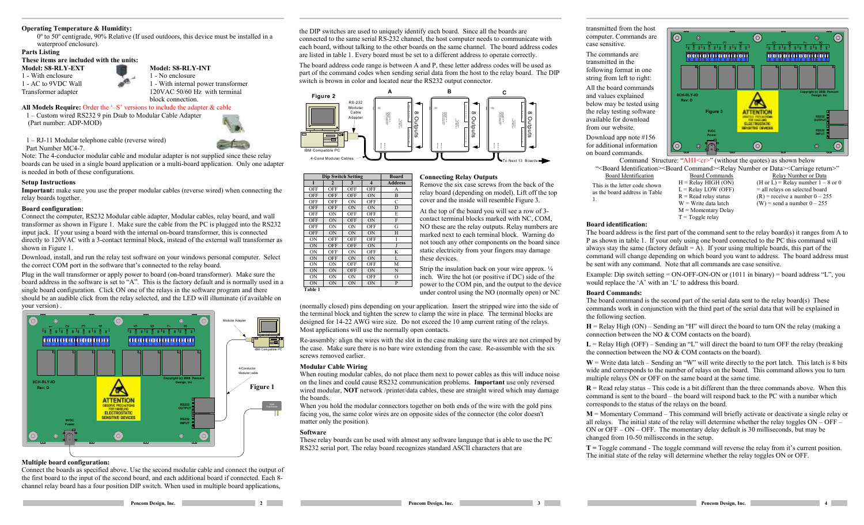#### **Operating Temperature & Humidity:**

0º to 50º centigrade, 90% Relative (If used outdoors, this device must be installed in <sup>a</sup> waterproof enclosure).

### **Parts Listing**

#### **These items are included with the units:**

**Model: S8-RLY-EXT**1 - With enclosure 1 - AC to 9VDC Wall Transformer adapter

# **Model: S8-RLY-INT**

1 - No enclosure 1 - With internal power transformer 120VAC 50/60 Hz with terminal

#### block connection. **All Models Require:** Order the '–S' versions to include the adapter & cable

1 – Customwired RS232 9 pin Dsub to Modular Cable Adapter (Part number: A DP-MOD)

1 – RJ-11 Modular telephone cable (reverse wired)

Part Number MC4-7.



 Note: The 4-conductor modular cable and modular adapter is not supplied since these relay boards can be used in <sup>a</sup> single board application or <sup>a</sup> multi-board application. Only one adapter is needed in both of these configurations.

### **Setup Instructions**

**Important:** make sure you use the proper modular cables (reverse wired) when connecting the relay boards together.

#### **Board configuration:**

Connect the computer, RS232 Modular cable adapter, Modular cables, relay board, and wall transformer as shown in Figure 1. Make sure the cable from the PC is plugged into the RS232 input jack. If your using <sup>a</sup> board with the internal on-board transformer, this is connected directly to 120VAC with a 3-contact terminal block, instead of the external wall transformer as shown in Figure 1.

Download, install, and run the relay test software on your windows personal computer. Select the correct C O M port in the software that's connected to the relay board.

Plug in the wall transformer or apply power to board (on-board transformer). Make sure the board address in the software is set to "A". This is the factory default and is normally used in <sup>a</sup> single board configuration. Click O N one of the relays in the software program and there should be an audible click from the relay selected, and the L E D will illuminate (if available on your version) .



# **Multiple board configuration:**

Connect the boards as specified above. Use the second modular cable and connect the output of the first board to the input of the second board, and each additional board if connected. Each 8 channel relay board has <sup>a</sup> four position DIP switch. When used in multiple board applications,

the DIP switches are used to uniquely identify each board. Since all the boards are connected to the same serial RS-232 channel, the host computer needs to com municate with each board, without talking to the other boards on the same channel. The board address codes are listed in table 1. Every board must be set to <sup>a</sup> different address to operate correctly.

The board address code range is between A and P, these letter address codes will be used as part of the com mand codes when sending serial data from the host to the relay board. The DIP switch is brown in color and located near the RS232 output connector.



**Dip Switch Setting Board**<br> **Board**<br> **Board**<br> **Board** 

 OFF OFF OFF AOFF OFF OFF ON B

OFF ON

ON OFF OFF OFF I ON OFF OFF ON J

ON OFF ON ON L

ON ON OFF ON N

ON ON OFF O

 $ON$  OFF  $C$ 

ON D D

OFF OFF E

ON OFF G

ON OFF K

OFF OFF M

ON ON ON P

ON ON H

**2 3 4 Address**

 $N$ 

# **Connecting Relay Outputs**

Remove the six case screws from the back of the relay board (depending on model). Lift off the top cover and the inside will resemble Figure 3.

At the top of the board you will see <sup>a</sup> row of 3 contact terminal blocks marked with N C, C O M, NO these are the relay outputs. Relay numbers are marked next to each terminal block. Warning do not touch any other components on the board since static electricity from your fingers may damage these devices.

Strip the insulation back on your wire approx. ¼ inch. Wire the hot (or positive if D C) side of the power to the C OM pin, and the output to the device under control using the N O (normally open) or N C

(normally closed) pins depending on your application. Insert the stripped wire into the side of the terminal block and tighten the screw to clamp the wire in place. The terminal blocks are designed for 14-22 A WGwire size. Do not exceed the 10 amp current rating of the relays. Most applications will use the normally open contacts.

Re-assembly: align the wires with the slot in the case making sure the wires are not crimped by the case. Make sure there is no bare wire extending from the case. Re-assemble with the six screws removed earlier.

#### **Modular Cable Wiring**

When routing modular cables, do not place them next to power cables as this will induce noise on the lines and could cause RS232 communication problems. **Important** use only reversed wired modular, **N OT** network /printer/data cables, these are straight wired which may damage the boards.

When you hold the modular connectors together on both ends of the wire with the gold pins facing you, the same color wires are on opposite sides of the connector (the color doesn't matter only the position).

# **Software**

OFF

**OFF** 

OFF

OFF

OFF

OFF

ON

**Table 1**

OFF OFF ON

OFF

ON

ON<sub>1</sub>

ON

ON

ON OFF

ON ON

ON ON

These relay boards can be used with almost any software language that is able to use the PC RS232 serial port. The relay board recognizes standard ASCII characters that are

transmitted from the host computer. Com mands arecase sensitive.

The commands are transmitted in the following format in one string from left to right: All the board commandsand values explained belowmay be tested using the relay testing software available for downloadfrom our website. Download app note #156 for additional information

on board commands.



Command Structure: "AH1<cr>" (without the quotes) as shown below "<Board Identification><Board Command><Relay Number or Data><Carriage return>"

Board Identification This is the letter code shown as the board address in Table 1.

 Board Commands $H =$ Relay HIGH (ON) L <sup>=</sup> Relay LO W (OFF) R <sup>=</sup> Read relay status Relay Number or Data (H or  $L =$  Relay number  $1 - 8$  or 0 = all relays on selected board  $(R)$  = receive a number  $0 - 255$  $(W)$  = send a number  $0 - 255$ 

W <sup>=</sup> Write data latch M <sup>=</sup> Momentary Delay T <sup>=</sup> Toggle relay

# **Board identification:**

The board address is the first part of the com mand sent to the relay board(s) it ranges from A to P as shown in table 1. If your only using one board connected to the PC this com mand will always stay the same (factory default  $=$  A). If your using multiple boards, this part of the command will change depending on which board you want to address. The board address must be sent with any com mand. Note that all commands are case sensitive.

Example: Dip switch setting <sup>=</sup> O N-OFF-ON-ON or (1011 in binary) <sup>=</sup> board address "L", you would replace the 'A' with an 'L' to address this board.

#### **Board Commands:**

The board command is the second part of the serial data sent to the relay board(s) These commands work in conjunction with the third part of the serial data that will be explained in the following section.

**H** = Relay High (ON) – Sending an "H" will direct the board to turn ON the relay (making a connection between the NO&COM contacts on the board).

**L** <sup>=</sup> Relay High (OFF) – Sending an "L" will direct the board to turn OFF the relay (breaking the connection between the NO  $&$  COM contacts on the board).

 $W = W$ rite data latch – Sending an "W" will write directly to the port latch. This latch is 8 bits wide and corresponds to the number of relays on the board. This com mand allows you to turn multiple relays O N or OFF on the same board at the same time.

**R** = Read relay status – This code is a bit different than the three commands above. When this command is sent to the board – the board will respond back to the PC with <sup>a</sup> number which corresponds to the status of the relays on the board.

**M** = Momentary Command – This command will briefly activate or deactivate a single relay or all relays. The initial state of the relay will determine whether the relay toggles O N – OFF – O N or OFF – O N – OFF. The momentary delay default is 30 milliseconds, but may be changed from 10-50 milliseconds in the setup.

**T** = Toggle command - The toggle command will reverse the relay from it's current position. The initial state of the relay will determine whether the relay toggles O N or OFF.